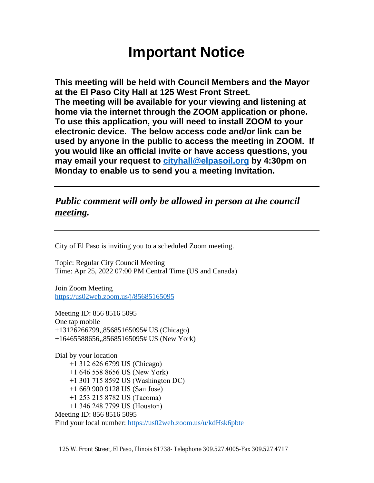# **Important Notice**

**This meeting will be held with Council Members and the Mayor at the El Paso City Hall at 125 West Front Street. The meeting will be available for your viewing and listening at home via the internet through the ZOOM application or phone. To use this application, you will need to install ZOOM to your electronic device. The below access code and/or link can be used by anyone in the public to access the meeting in ZOOM. If you would like an official invite or have access questions, you may email your request to [cityhall@elpasoil.org](mailto:cityhall@elpasoil.org) by 4:30pm on Monday to enable us to send you a meeting Invitation.**

## *Public comment will only be allowed in person at the council meeting.*

City of El Paso is inviting you to a scheduled Zoom meeting.

Topic: Regular City Council Meeting Time: Apr 25, 2022 07:00 PM Central Time (US and Canada)

Join Zoom Meeting <https://us02web.zoom.us/j/85685165095>

Meeting ID: 856 8516 5095 One tap mobile +13126266799,,85685165095# US (Chicago) +16465588656,,85685165095# US (New York)

Dial by your location +1 312 626 6799 US (Chicago) +1 646 558 8656 US (New York) +1 301 715 8592 US (Washington DC) +1 669 900 9128 US (San Jose) +1 253 215 8782 US (Tacoma) +1 346 248 7799 US (Houston) Meeting ID: 856 8516 5095 Find your local number:<https://us02web.zoom.us/u/kdHsk6pbte>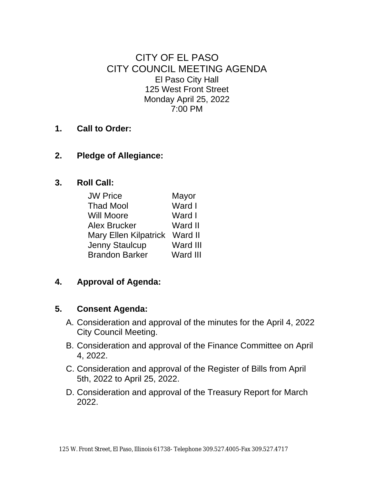CITY OF EL PASO CITY COUNCIL MEETING AGENDA El Paso City Hall 125 West Front Street Monday April 25, 2022 7:00 PM

- **1. Call to Order:**
- **2. Pledge of Allegiance:**
- **3. Roll Call:**

| <b>JW Price</b>              | Mayor    |
|------------------------------|----------|
| <b>Thad Mool</b>             | Ward I   |
| <b>Will Moore</b>            | Ward I   |
| Alex Brucker                 | Ward II  |
| <b>Mary Ellen Kilpatrick</b> | Ward II  |
| Jenny Staulcup               | Ward III |
| <b>Brandon Barker</b>        | Ward III |

**4. Approval of Agenda:**

#### **5. Consent Agenda:**

- A. Consideration and approval of the minutes for the April 4, 2022 City Council Meeting.
- B. Consideration and approval of the Finance Committee on April 4, 2022.
- C. Consideration and approval of the Register of Bills from April 5th, 2022 to April 25, 2022.
- D. Consideration and approval of the Treasury Report for March 2022.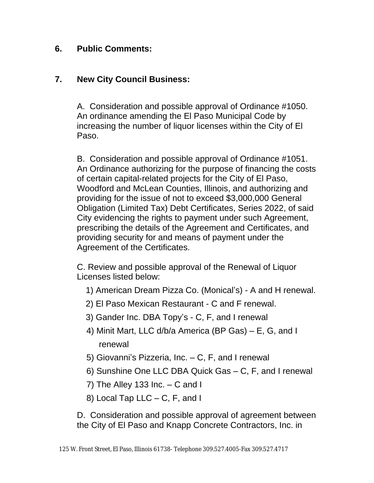#### **6. Public Comments:**

#### **7. New City Council Business:**

A. Consideration and possible approval of Ordinance #1050. An ordinance amending the El Paso Municipal Code by increasing the number of liquor licenses within the City of El Paso.

B. Consideration and possible approval of Ordinance #1051. An Ordinance authorizing for the purpose of financing the costs of certain capital-related projects for the City of El Paso, Woodford and McLean Counties, Illinois, and authorizing and providing for the issue of not to exceed \$3,000,000 General Obligation (Limited Tax) Debt Certificates, Series 2022, of said City evidencing the rights to payment under such Agreement, prescribing the details of the Agreement and Certificates, and providing security for and means of payment under the Agreement of the Certificates.

C. Review and possible approval of the Renewal of Liquor Licenses listed below:

- 1) American Dream Pizza Co. (Monical's) A and H renewal.
- 2) El Paso Mexican Restaurant C and F renewal.
- 3) Gander Inc. DBA Topy's C, F, and I renewal
- 4) Minit Mart, LLC d/b/a America (BP Gas) E, G, and I renewal
- 5) Giovanni's Pizzeria, Inc. C, F, and I renewal
- 6) Sunshine One LLC DBA Quick Gas C, F, and I renewal
- 7) The Alley 133 Inc.  $-$  C and I
- 8) Local Tap LLC C, F, and I

D. Consideration and possible approval of agreement between the City of El Paso and Knapp Concrete Contractors, Inc. in